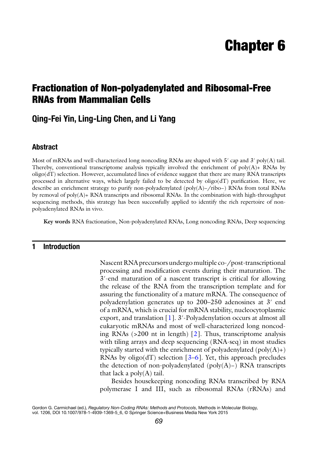# **Chapter 6**

## **Fractionation of Non-polyadenylated and Ribosomal-Free RNAs from Mammalian Cells**

### **Qing-Fei Yin, Ling-Ling Chen, and Li Yang**

#### **Abstract**

Most of mRNAs and well-characterized long noncoding RNAs are shaped with 5' cap and 3' poly(A) tail. Thereby, conventional transcriptome analysis typically involved the enrichment of  $poly(A)$ + RNAs by oligo(dT) selection. However, accumulated lines of evidence suggest that there are many RNA transcripts processed in alternative ways, which largely failed to be detected by  $oligo(dT)$  purification. Here, we describe an enrichment strategy to purify non-polyadenylated (poly(A)−/ribo−) RNAs from total RNAs by removal of  $poly(A)$ + RNA transcripts and ribosomal RNAs. In the combination with high-throughput sequencing methods, this strategy has been successfully applied to identify the rich repertoire of nonpolyadenylated RNAs in vivo.

**Key words** RNA fractionation , Non-polyadenylated RNAs , Long noncoding RNAs , Deep sequencing

#### **1 Introduction**

Nascent RNA precursors undergo multiple co-/post- transcriptional processing and modification events during their maturation. The 3′-end maturation of a nascent transcript is critical for allowing the release of the RNA from the transcription template and for assuring the functionality of a mature mRNA. The consequence of polyadenylation generates up to 200–250 adenosines at 3′ end of a mRNA, which is crucial for mRNA stability, nucleocytoplasmic export, and translation  $[1]$ . 3'-Polyadenylation occurs at almost all eukaryotic mRNAs and most of well-characterized long noncoding RNAs  $(>200$  nt in length) [2]. Thus, transcriptome analysis with tiling arrays and deep sequencing (RNA-seq) in most studies typically started with the enrichment of polyadenylated  $(\text{poly}(A)+)$ RNAs by oligo(dT) selection  $[3-6]$ . Yet, this approach precludes the detection of non-polyadenylated (poly(A)−) RNA transcripts that lack a  $poly(A)$  tail.

Besides housekeeping noncoding RNAs transcribed by RNA polymerase I and III, such as ribosomal RNAs (rRNAs) and

Gordon G. Carmichael (ed.), *Regulatory Non-Coding RNAs: Methods and Protocols*, Methods in Molecular Biology, vol. 1206, DOI 10.1007/978-1-4939-1369-5\_6, © Springer Science+Business Media New York 2015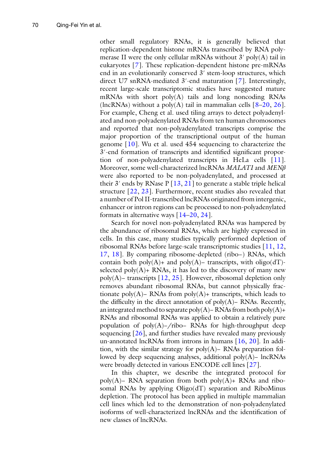other small regulatory RNAs, it is generally believed that replication- dependent histone mRNAs transcribed by RNA polymerase II were the only cellular mRNAs without  $3'$  poly(A) tail in eukaryotes [7]. These replication-dependent histone pre-mRNAs end in an evolutionarily conserved 3′ stem-loop structures, which direct U7 snRNA-mediated 3'-end maturation [7]. Interestingly, recent large-scale transcriptomic studies have suggested mature mRNAs with short poly(A) tails and long noncoding RNAs (lncRNAs) without a poly(A) tail in mammalian cells  $[8-20, 26]$  $[8-20, 26]$  $[8-20, 26]$ . For example, Cheng et al. used tiling arrays to detect polyadenylated and non- polyadenylated RNAs from ten human chromosomes and reported that non-polyadenylated transcripts comprise the major proportion of the transcriptional output of the human genome [ [10](#page-11-0)]. Wu et al. used 454 sequencing to characterize the 3'-end formation of transcripts and identified significant proportion of non-polyadenylated transcripts in HeLa cells [11]. Moreover, some well-characterized lncRNAs *MALAT1* and *MENβ* were also reported to be non-polyadenylated, and processed at their 3' ends by RNase  $P[13, 21]$  $P[13, 21]$  $P[13, 21]$  to generate a stable triple helical structure  $[22, 23]$  $[22, 23]$  $[22, 23]$ . Furthermore, recent studies also revealed that a number of Pol II-transcribed lncRNAs originated from intergenic, enhancer or intron regions can be processed to non-polyadenylated formats in alternative ways  $[14–20, 24]$  $[14–20, 24]$  $[14–20, 24]$ .

Search for novel non-polyadenylated RNAs was hampered by the abundance of ribosomal RNAs, which are highly expressed in cells. In this case, many studies typically performed depletion of ribosomal RNAs before large-scale transcriptomic studies [\[ 11,](#page-11-0) [12,](#page-11-0) [17,](#page-11-0) [18](#page-11-0)]. By comparing ribosome-depleted (ribo−) RNAs, which contain both poly $(A)$ + and poly $(A)$ – transcripts, with oligo $dT$ )selected  $poly(A)$ + RNAs, it has led to the discovery of many new poly(A)− transcripts [\[ 12,](#page-11-0) [25\]](#page-11-0). However, ribosomal depletion only removes abundant ribosomal RNAs, but cannot physically fractionate poly(A)– RNAs from poly(A)+ transcripts, which leads to the difficulty in the direct annotation of poly $(A)$ – RNAs. Recently, an integrated method to separate poly(A)− RNAs from both poly(A)+ RNAs and ribosomal RNAs was applied to obtain a relatively pure population of poly(A)−/ribo− RNAs for high- throughput deep sequencing  $[26]$ , and further studies have revealed many previously un-annotated lncRNAs from introns in humans  $[16, 20]$  $[16, 20]$  $[16, 20]$ . In addition, with the similar strategy for poly(A)− RNAs preparation followed by deep sequencing analyses, additional poly(A)− lncRNAs were broadly detected in various ENCODE cell lines [ [27\]](#page-11-0).

In this chapter, we describe the integrated protocol for poly(A)− RNA separation from both poly(A)+ RNAs and ribosomal RNAs by applying Oligo(dT) separation and RiboMinus depletion. The protocol has been applied in multiple mammalian cell lines which led to the demonstration of non-polyadenylated isoforms of well-characterized lncRNAs and the identification of new classes of lncRNAs.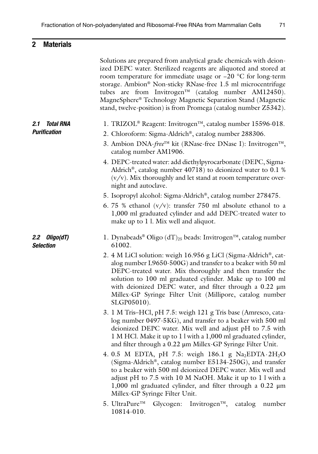## **2 Materials**

|                                                | Solutions are prepared from analytical grade chemicals with deion-<br>ized DEPC water. Sterilized reagents are aliquoted and stored at<br>room temperature for immediate usage or $-20$ °C for long-term<br>storage. Ambion® Non-sticky RNase-free 1.5 ml microcentrifuge<br>tubes are from Invitrogen <sup>™</sup> (catalog number AM12450).<br>MagneSphere® Technology Magnetic Separation Stand (Magnetic<br>stand, twelve-position) is from Promega (catalog number Z5342). |
|------------------------------------------------|---------------------------------------------------------------------------------------------------------------------------------------------------------------------------------------------------------------------------------------------------------------------------------------------------------------------------------------------------------------------------------------------------------------------------------------------------------------------------------|
| 2.1<br><b>Total RNA</b><br><b>Purification</b> | 1. TRIZOL® Reagent: Invitrogen™, catalog number 15596-018.<br>2. Chloroform: Sigma-Aldrich®, catalog number 288306.<br>3. Ambion DNA-free™ kit (RNase-free DNase I): Invitrogen™,<br>catalog number AM1906.                                                                                                                                                                                                                                                                     |
|                                                | 4. DEPC-treated water: add diethylpyrocarbonate (DEPC, Sigma-<br>Aldrich <sup>®</sup> , catalog number $40718$ ) to deionized water to 0.1 %<br>$(v/v)$ . Mix thoroughly and let stand at room temperature over-<br>night and autoclave.                                                                                                                                                                                                                                        |
|                                                | 5. Isopropyl alcohol: Sigma-Aldrich®, catalog number 278475.<br>6. 75 % ethanol $(v/v)$ : transfer 750 ml absolute ethanol to a<br>1,000 ml graduated cylinder and add DEPC-treated water to<br>make up to 1 l. Mix well and aliquot.                                                                                                                                                                                                                                           |
| 2.2 Oligo(dT)<br><b>Selection</b>              | 1. Dynabeads <sup>®</sup> Oligo (dT) <sub>25</sub> beads: Invitrogen <sup>™</sup> , catalog number<br>61002.                                                                                                                                                                                                                                                                                                                                                                    |
|                                                | 2. 4 M LiCl solution: weigh 16.956 g LiCl (Sigma-Aldrich®, cat-<br>alog number L9650-500G) and transfer to a beaker with 50 ml<br>DEPC-treated water. Mix thoroughly and then transfer the<br>solution to 100 ml graduated cylinder. Make up to 100 ml<br>with deionized DEPC water, and filter through a $0.22 \mu m$<br>Millex-GP Syringe Filter Unit (Millipore, catalog number<br>SLGP05010).                                                                               |
|                                                | 3. 1 M Tris-HCl, pH 7.5: weigh 121 g Tris base (Amresco, cata-<br>log number 0497-5KG), and transfer to a beaker with 500 ml<br>deionized DEPC water. Mix well and adjust pH to 7.5 with<br>1 M HCl. Make it up to 1 l with a 1,000 ml graduated cylinder,<br>and filter through a 0.22 µm Millex-GP Syringe Filter Unit.                                                                                                                                                       |
|                                                | 4. 0.5 M EDTA, pH 7.5: weigh 186.1 g Na <sub>2</sub> EDTA $\cdot$ 2H <sub>2</sub> O<br>(Sigma-Aldrich <sup>®</sup> , catalog number $E5134-250G$ ), and transfer<br>to a beaker with 500 ml deionized DEPC water. Mix well and<br>adjust pH to 7.5 with 10 M NaOH. Make it up to 1 l with a<br>1,000 ml graduated cylinder, and filter through a $0.22 \mu m$<br>Millex-GP Syringe Filter Unit.                                                                                 |
|                                                | 5. UltraPure™<br>Invitrogen <sup><math>TM</math></sup> ,<br>Glycogen:<br>catalog<br>number<br>10814-010.                                                                                                                                                                                                                                                                                                                                                                        |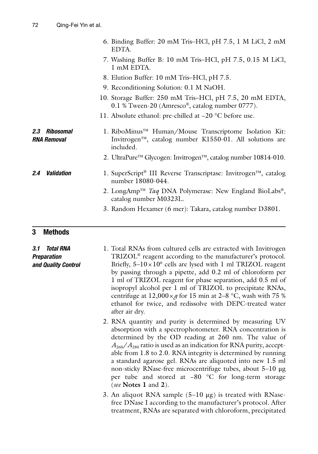#### **3 Methods**

*3.1 Total RNA Preparation and Quality Control*

- 1. Total RNAs from cultured cells are extracted with Invitrogen TRIZOL<sup>®</sup> reagent according to the manufacturer's protocol. Briefly,  $5-10 \times 10^6$  cells are lysed with 1 ml TRIZOL reagent by passing through a pipette, add 0.2 ml of chloroform per 1 ml of TRIZOL reagent for phase separation, add 0.5 ml of isopropyl alcohol per 1 ml of TRIZOL to precipitate RNAs, centrifuge at  $12,000 \times g$  for 15 min at 2–8 °C, wash with 75 % ethanol for twice, and redissolve with DEPC-treated water after air dry.
- 2. RNA quantity and purity is determined by measuring UV absorption with a spectrophotometer. RNA concentration is determined by the OD reading at 260 nm. The value of  $A_{260}/A_{280}$  ratio is used as an indication for RNA purity, acceptable from 1.8 to 2.0. RNA integrity is determined by running a standard agarose gel. RNAs are aliquoted into new 1.5 ml non-sticky RNase-free microcentrifuge tubes, about 5–10 μg per tube and stored at −80 °C for long-term storage ( *see* **Notes 1** and **2**).
- 3. An aliquot RNA sample (5–10 μg) is treated with RNasefree DNase I according to the manufacturer's protocol. After treatment, RNAs are separated with chloroform, precipitated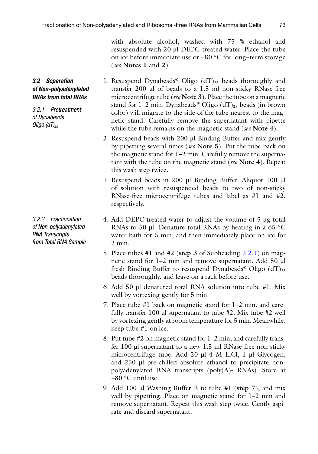with absolute alcohol, washed with 75 % ethanol and resuspended with 20 μl DEPC-treated water. Place the tube on ice before immediate use or −80 °C for long–term storage ( *see* **Notes 1** and **2**).

- 1. Resuspend Dynabeads<sup>®</sup> Oligo  $(dT)_{25}$  beads thoroughly and transfer 200 μl of beads to a 1.5 ml non-sticky RNase-free microcentrifuge tube ( *see* **Note 3**). Place the tube on a magnetic stand for 1–2 min. Dynabeads<sup>®</sup> Oligo (dT)<sub>25</sub> beads (in brown color) will migrate to the side of the tube nearest to the magnetic stand. Carefully remove the supernatant with pipette while the tube remains on the magnetic stand ( *see* **Note 4**).
	- 2. Resuspend beads with 200 μl Binding Buffer and mix gently by pipetting several times ( *see* **Note 5**). Put the tube back on the magnetic stand for 1–2 min. Carefully remove the supernatant with the tube on the magnetic stand ( *see* **Note 4**). Repeat this wash step twice.
	- 3. Resuspend beads in 200 μl Binding Buffer. Aliquot 100 μl of solution with resuspended beads to two of non-sticky RNase- free microcentrifuge tubes and label as #1 and #2, respectively.
	- 4. Add DEPC-treated water to adjust the volume of 5 μg total RNAs to 50 μl. Denature total RNAs by heating in a 65 °C water bath for 5 min, and then immediately place on ice for 2 min.
	- 5. Place tubes #1 and #2 ( **step 3** of Subheading 3.2.1) on magnetic stand for 1–2 min and remove supernatant. Add 50 μl fresh Binding Buffer to resuspend Dynabeads® Oligo  $(dT)_{25}$ beads thoroughly, and leave on a rack before use.
	- 6. Add 50 μl denatured total RNA solution into tube #1. Mix well by vortexing gently for 5 min.
	- 7. Place tube #1 back on magnetic stand for 1–2 min, and carefully transfer 100 μl supernatant to tube #2. Mix tube #2 well by vortexing gently at room temperature for 5 min. Meanwhile, keep tube #1 on ice.
	- 8. Put tube #2 on magnetic stand for 1–2 min, and carefully transfer 100 μl supernatant to a new 1.5 ml RNase-free non-sticky microcentrifuge tube. Add 20 μl 4 M LiCl, 1 μl Glycogen, and 250 μl pre-chilled absolute ethanol to precipitate nonpolyadenylated RNA transcripts (poly(A)- RNAs). Store at −80 °C until use.
	- 9. Add 100 μl Washing Buffer B to tube #1 ( **step 7**), and mix well by pipetting. Place on magnetic stand for 1–2 min and remove supernatant. Repeat this wash step twice. Gently aspirate and discard supernatant.

#### <span id="page-4-0"></span>*3.2 Separation of Non- polyadenylated RNAs from total RNAs*

*3.2.1 Pretreatment of Dynabeads Oligo (dT)*<sub>25</sub>

*3.2.2 Fractionation of Non-polyadenylated RNA Transcripts from Total RNA Sample*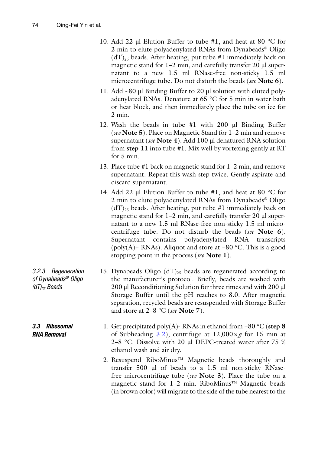*of Dynabeads ® Oligo* 

*(dT) 25 Beads*

*3.3 Ribosomal RNA Removal*

- <span id="page-5-0"></span> 10. Add 22 μl Elution Buffer to tube #1, and heat at 80 °C for 2 min to elute polyadenylated RNAs from Dynabeads<sup>®</sup> Oligo  $(dT)_{25}$  beads. After heating, put tube #1 immediately back on magnetic stand for 1–2 min, and carefully transfer 20 μl supernatant to a new 1.5 ml RNase-free non-sticky 1.5 ml microcentrifuge tube. Do not disturb the beads ( *see* **Note 6**).
- 11. Add ~80 μl Binding Buffer to 20 μl solution with eluted polyadenylated RNAs. Denature at 65 °C for 5 min in water bath or heat block, and then immediately place the tube on ice for 2 min.
- 12. Wash the beads in tube #1 with 200 μl Binding Buffer ( *see* **Note 5**). Place on Magnetic Stand for 1–2 min and remove supernatant ( *see* **Note 4**). Add 100 μl denatured RNA solution from **step 11** into tube #1. Mix well by vortexing gently at RT for 5 min.
- 13. Place tube #1 back on magnetic stand for 1–2 min, and remove supernatant. Repeat this wash step twice. Gently aspirate and discard supernatant.
- 14. Add 22 μl Elution Buffer to tube #1, and heat at 80 °C for 2 min to elute polyadenylated RNAs from Dynabeads® Oligo  $(dT)_{25}$  beads. After heating, put tube #1 immediately back on magnetic stand for 1–2 min, and carefully transfer 20 μl supernatant to a new 1.5 ml RNase-free non-sticky 1.5 ml microcentrifuge tube. Do not disturb the beads ( *see* **Note 6**). Supernatant contains polyadenylated RNA transcripts (poly(A)+ RNAs). Aliquot and store at  $-80$  °C. This is a good stopping point in the process ( *see* **Note 1**).
- 15. Dynabeads Oligo  $(dT)_{25}$  beads are regenerated according to the manufacturer's protocol. Briefly, beads are washed with 200 μl Reconditioning Solution for three times and with 200 μl Storage Buffer until the pH reaches to 8.0. After magnetic separation, recycled beads are resuspended with Storage Buffer and store at 2–8 °C ( *see* **Note 7**). *3.2.3 Regeneration* 
	- 1. Get precipitated poly(A)- RNAs in ethanol from −80 °C ( **step 8** of Subheading [3.2\)](#page-4-0), centrifuge at  $12,000 \times g$  for 15 min at 2–8 °C. Dissolve with 20 μl DEPC-treated water after 75 % ethanol wash and air dry.
		- 2. Resuspend RiboMinus™ Magnetic beads thoroughly and transfer 500 μl of beads to a 1.5 ml non-sticky RNasefree microcentrifuge tube ( *see* **Note 3**). Place the tube on a magnetic stand for 1–2 min. RiboMinus™ Magnetic beads (in brown color) will migrate to the side of the tube nearest to the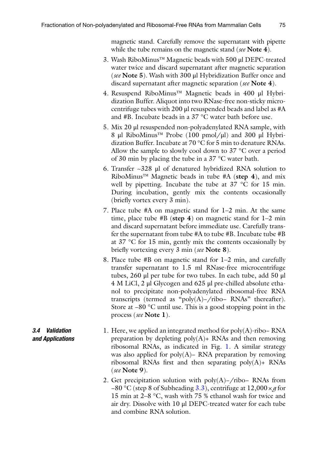<span id="page-6-0"></span>magnetic stand. Carefully remove the supernatant with pipette while the tube remains on the magnetic stand ( *see* **Note 4**).

- 3. Wash RiboMinus™ Magnetic beads with 500 μl DEPC-treated water twice and discard supernatant after magnetic separation ( *see* **Note 5**). Wash with 300 μl Hybridization Buffer once and discard supernatant after magnetic separation ( *see* **Note 4**).
- 4. Resuspend RiboMinus™ Magnetic beads in 400 μl Hybridization Buffer. Aliquot into two RNase-free non-sticky microcentrifuge tubes with 200 μl resuspended beads and label as #A and #B. Incubate beads in a 37 °C water bath before use.
- 5. Mix 20 μl resuspended non-polyadenylated RNA sample, with 8 μl RiboMinus™ Probe (100 pmol/μl) and 300 μl Hybridization Buffer. Incubate at 70 °C for 5 min to denature RNAs. Allow the sample to slowly cool down to 37 °C over a period of 30 min by placing the tube in a 37 °C water bath.
- 6. Transfer ~328 μl of denatured hybridized RNA solution to RiboMinus™ Magnetic beads in tube #A ( **step 4**), and mix well by pipetting. Incubate the tube at 37 °C for 15 min. During incubation, gently mix the contents occasionally (briefly vortex every 3 min).
- 7. Place tube #A on magnetic stand for 1–2 min. At the same time, place tube #B ( **step 4**) on magnetic stand for 1–2 min and discard supernatant before immediate use. Carefully transfer the supernatant from tube #A to tube #B. Incubate tube #B at 37 °C for 15 min, gently mix the contents occasionally by briefly vortexing every 3 min (*see* Note 8).
- 8. Place tube #B on magnetic stand for 1–2 min, and carefully transfer supernatant to 1.5 ml RNase-free microcentrifuge tubes, 260 μl per tube for two tubes. In each tube, add 50 μl 4 M LiCl, 2 μl Glycogen and 625 μl pre-chilled absolute ethanol to precipitate non-polyadenylated ribosomal-free RNA transcripts (termed as "poly(A)−/ribo− RNAs" thereafter). Store at −80 °C until use. This is a good stopping point in the process ( *see* **Note 1**).
- 1. Here, we applied an integrated method for poly(A)-ribo− RNA preparation by depleting  $poly(A)$ + RNAs and then removing ribosomal RNAs, as indicated in Fig. [1.](#page-7-0) A similar strategy was also applied for poly $(A)$ – RNA preparation by removing ribosomal RNAs first and then separating  $poly(A)$ + RNAs ( *see* **Note 9**). *3.4 Validation and Applications*
	- 2. Get precipitation solution with poly(A)–/ribo– RNAs from −80 °C (step 8 of Subheading [3.3\)](#page-5-0), centrifuge at 12,000 × *g* for 15 min at 2–8 °C, wash with 75 % ethanol wash for twice and air dry. Dissolve with 10 μl DEPC-treated water for each tube and combine RNA solution.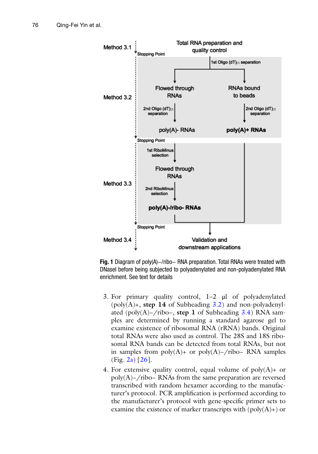<span id="page-7-0"></span>

 **Fig. 1** Diagram of poly(A)−/ribo− RNA preparation. Total RNAs were treated with DNaseI before being subjected to polyadenylated and non-polyadenylated RNA enrichment. See text for details

- 3. For primary quality control, 1–2 μl of polyadenylated  $(poly(A) +$ , **step 14** of Subheading  $3.2$ ) and non-polyadenylated (poly(A)−/ribo−, **step 1** of Subheading [3.4\)](#page-6-0) RNA samples are determined by running a standard agarose gel to examine existence of ribosomal RNA (rRNA) bands. Original total RNAs were also used as control. The 28S and 18S ribosomal RNA bands can be detected from total RNAs, but not in samples from  $poly(A)$ + or  $poly(A)$ −/ribo– RNA samples  $(Fig. 2a) [26]$  $(Fig. 2a) [26]$  $(Fig. 2a) [26]$ .
- 4. For extensive quality control, equal volume of  $poly(A)$ + or poly(A)−/ribo− RNAs from the same preparation are reversed transcribed with random hexamer according to the manufacturer's protocol. PCR amplification is performed according to the manufacturer's protocol with gene-specific primer sets to examine the existence of marker transcripts with  $(poly(A)) + o$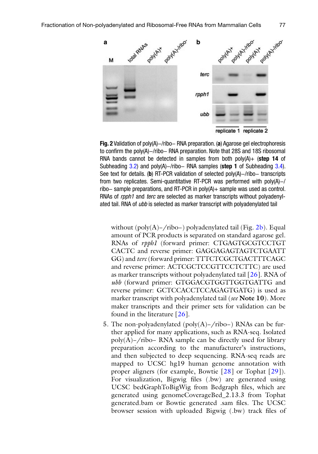<span id="page-8-0"></span>

 **Fig. 2** Validation of poly(A)−/ribo− RNA preparation. ( **a** ) Agarose gel electrophoresis to confirm the poly(A)–/ribo– RNA preparation. Note that 28S and 18S ribosomal RNA bands cannot be detected in samples from both poly(A)+ ( **step 14** of Subheading [3.2](#page-4-0)) and poly(A)–/ribo– RNA samples (step 1 of Subheading 3.4). See text for details. (**b**) RT-PCR validation of selected poly(A)–/ribo– transcripts from two replicates. Semi-quantitative RT-PCR was performed with poly(A)−/ ribo− sample preparations, and RT-PCR in poly(A)+ sample was used as control. RNAs of *rpph1* and *terc* are selected as marker transcripts without polyadenylated tail. RNA of *ubb* is selected as marker transcript with polyadenylated tail

without (poly(A)–/ribo–) polyadenylated tail (Fig. 2b). Equal amount of PCR products is separated on standard agarose gel. RNAs of *rpph1* (forward primer: CTGAGTGCGTCCTGT CACTC and reverse primer: GAGGAGAGTAGTCTGAATT GG) and *terc* (forward primer: TTTCTCGCTGACTTTCAGC and reverse primer: ACTCGCTCCGTTCCTCTTC) are used as marker transcripts without polyadenylated tail [\[ 26](#page-11-0)]. RNA of *ubb* (forward primer: GTGGACGTGGTTGGTGATTG and reverse primer: GCTCCACCTCCAGAGTGATG) is used as marker transcript with polyadenylated tail ( *see* **Note 10**). More maker transcripts and their primer sets for validation can be found in the literature  $[26]$ .

 5. The non-polyadenylated (poly(A)−/ribo−) RNAs can be further applied for many applications, such as RNA-seq. Isolated poly(A)−/ribo− RNA sample can be directly used for library preparation according to the manufacturer's instructions, and then subjected to deep sequencing. RNA-seq reads are mapped to UCSC hg19 human genome annotation with proper aligners (for example, Bowtie [28] or Tophat [29]). For visualization, Bigwig files (.bw) are generated using UCSC bedGraphToBigWig from Bedgraph files, which are generated using genomeCoverageBed\_2.13.3 from Tophat generated.bam or Bowtie generated .sam files. The UCSC browser session with uploaded Bigwig (.bw) track files of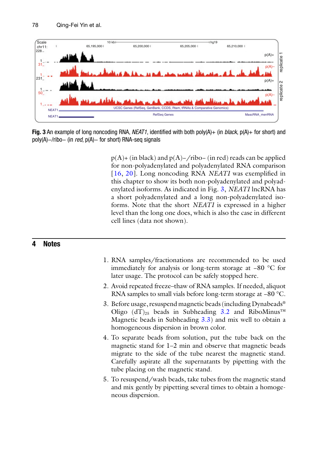

**Fig. 3** An example of long noncoding RNA, *NEAT1*, identified with both poly(A)+ (in *black*, p(A)+ for short) and poly(A)–/ribo– (in *red*, p(A)– for short) RNA-seq signals

p(A)+ (in black) and p(A)−/ribo− (in red) reads can be applied for non-polyadenylated and polyadenylated RNA comparison [16, [20](#page-11-0)]. Long noncoding RNA *NEAT1* was exemplified in this chapter to show its both non- polyadenylated and polyadenylated isoforms. As indicated in Fig. 3, *NEAT1* lncRNA has a short polyadenylated and a long non-polyadenylated isoforms. Note that the short *NEAT1* is expressed in a higher level than the long one does, which is also the case in different cell lines (data not shown).

#### **4 Notes**

- 1. RNA samples/fractionations are recommended to be used immediately for analysis or long-term storage at −80 °C for later usage. The protocol can be safely stopped here.
- 2. Avoid repeated freeze–thaw of RNA samples. If needed, aliquot RNA samples to small vials before long-term storage at −80 °C.
- 3. Before usage, resuspend magnetic beads (including Dynabeads ® Oligo  $dT$ <sub>25</sub> beads in Subheading [3.2](#page-4-0) and RiboMinus<sup>™</sup> Magnetic beads in Subheading [3.3](#page-5-0)) and mix well to obtain a homogeneous dispersion in brown color.
- 4. To separate beads from solution, put the tube back on the magnetic stand for 1–2 min and observe that magnetic beads migrate to the side of the tube nearest the magnetic stand. Carefully aspirate all the supernatants by pipetting with the tube placing on the magnetic stand.
- 5. To resuspend/wash beads, take tubes from the magnetic stand and mix gently by pipetting several times to obtain a homogeneous dispersion.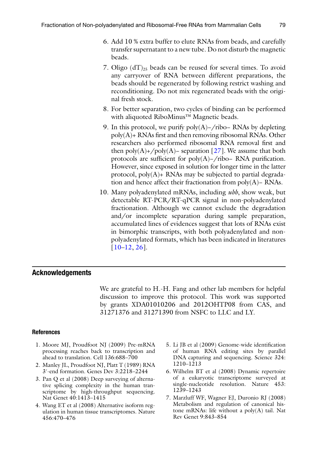- <span id="page-10-0"></span> 6. Add 10 % extra buffer to elute RNAs from beads, and carefully transfer supernatant to a new tube. Do not disturb the magnetic beads.
- 7. Oligo  $dT_{25}$  beads can be reused for several times. To avoid any carryover of RNA between different preparations, the beads should be regenerated by following restrict washing and reconditioning. Do not mix regenerated beads with the original fresh stock.
- 8. For better separation, two cycles of binding can be performed with aliquoted RiboMinus™ Magnetic beads.
- 9. In this protocol, we purify poly(A)–/ribo– RNAs by depleting  $poly(A)$ + RNAs first and then removing ribosomal RNAs. Other researchers also performed ribosomal RNA removal first and then  $poly(A)$ +/poly(A)– separation [27]. We assume that both protocols are sufficient for poly(A)–/ribo– RNA purification. However, since exposed in solution for longer time in the latter protocol, poly(A)+ RNAs may be subjected to partial degradation and hence affect their fractionation from poly(A)− RNAs.
- 10. Many polyadenylated mRNAs, including *ubb*, show weak, but detectable RT-PCR/RT-qPCR signal in non- polyadenylated fractionation. Although we cannot exclude the degradation and/or incomplete separation during sample preparation, accumulated lines of evidences suggest that lots of RNAs exist in bimorphic transcripts, with both polyadenylated and nonpolyadenylated formats, which has been indicated in literatures  $[10-12, 26]$  $[10-12, 26]$  $[10-12, 26]$ .

#### **Acknowledgements**

We are grateful to H.-H. Fang and other lab members for helpful discussion to improve this protocol. This work was supported by grants XDA01010206 and 2012OHTP08 from CAS, and 31271376 and 31271390 from NSFC to LLC and LY.

#### **References**

- 1. Moore MJ, Proudfoot NJ (2009) Pre-mRNA processing reaches back to transcription and ahead to translation. Cell 136:688–700
- 2. Manley JL, Proudfoot NJ, Platt T (1989) RNA 3′-end formation. Genes Dev 3:2218–2244
- 3. Pan Q et al (2008) Deep surveying of alternative splicing complexity in the human transcriptome by high-throughput sequencing. Nat Genet 40:1413–1415
- 4. Wang ET et al (2008) Alternative isoform regulation in human tissue transcriptomes. Nature 456:470–476
- 5. Li JB et al (2009) Genome-wide identification of human RNA editing sites by parallel DNA capturing and sequencing. Science 324: 1210–1213
- 6. Wilhelm BT et al (2008) Dynamic repertoire of a eukaryotic transcriptome surveyed at single-nucleotide resolution. Nature 453: 1239–1243
- 7. Marzluff WF, Wagner EJ, Duronio RJ (2008) Metabolism and regulation of canonical histone mRNAs: life without a poly(A) tail. Nat Rev Genet 9:843–854